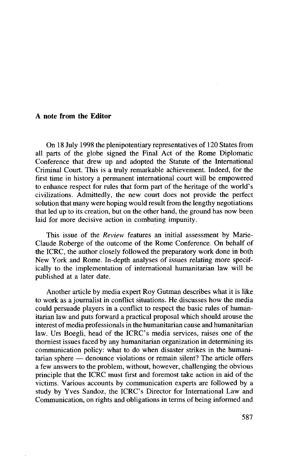## **A note from the Editor**

On 18 July 1998 the plenipotentiary representatives of 120 States from all parts of the globe signed the Final Act of the Rome Diplomatic Conference that drew up and adopted the Statute of the International Criminal Court. This is a truly remarkable achievement. Indeed, for the first time in history a permanent international court will be empowered to enhance respect for rules that form part of the heritage of the world's civilizations. Admittedly, the new court does not provide the perfect solution that many were hoping would result from the lengthy negotiations that led up to its creation, but on the other hand, the ground has now been laid for more decisive action in combating impunity.

This issue of the *Review* features an initial assessment by Marie-Claude Roberge of the outcome of the Rome Conference. On behalf of the ICRC, the author closely followed the preparatory work done in both New York and Rome. In-depth analyses of issues relating more specifically to the implementation of international humanitarian law will be published at a later date.

Another article by media expert Roy Gutman describes what it is like to work as a journalist in conflict situations. He discusses how the media could persuade players in a conflict to respect the basic rules of humanitarian law and puts forward a practical proposal which should arouse the interest of media professionals in the humanitarian cause and humanitarian law. Urs Boegli, head of the ICRC's media services, raises one of the thorniest issues faced by any humanitarian organization in determining its communication policy: what to do when disaster strikes in the humanitarian sphere — denounce violations or remain silent? The article offers a few answers to the problem, without, however, challenging the obvious principle that the ICRC must first and foremost take action in aid of the victims. Various accounts by communication experts are followed by a study by Yves Sandoz, the ICRC's Director for International Law and Communication, on rights and obligations in terms of being informed and